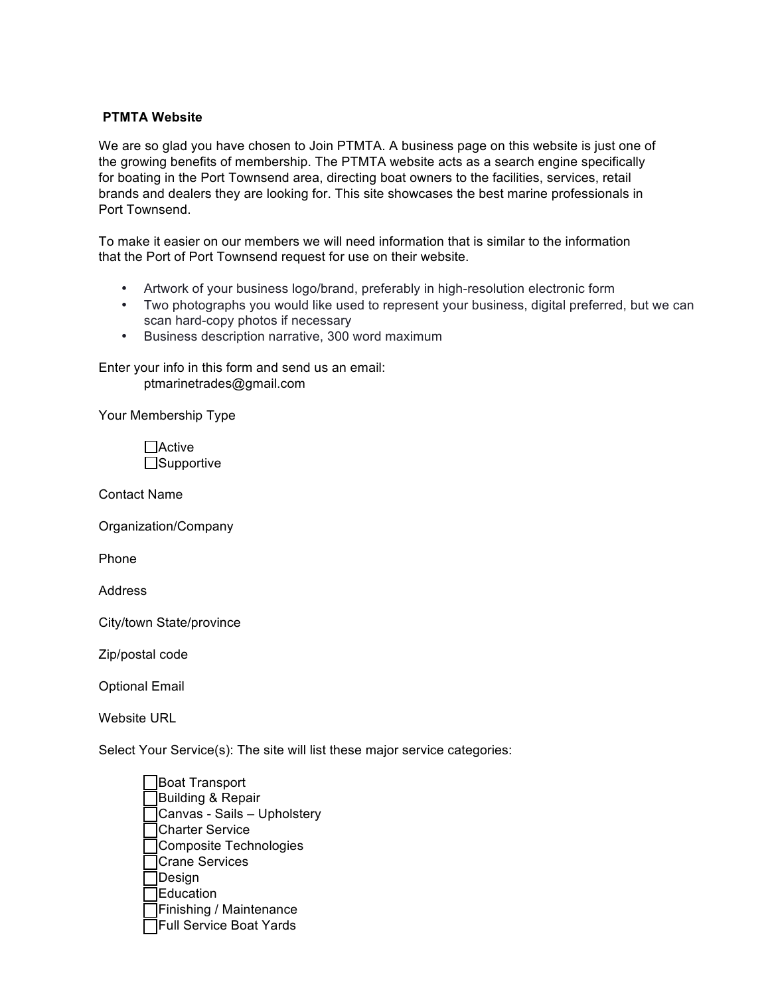## **PTMTA Website**

We are so glad you have chosen to Join PTMTA. A business page on this website is just one of the growing benefits of membership. The PTMTA website acts as a search engine specifically for boating in the Port Townsend area, directing boat owners to the facilities, services, retail brands and dealers they are looking for. This site showcases the best marine professionals in Port Townsend.

To make it easier on our members we will need information that is similar to the information that the Port of Port Townsend request for use on their website.

- Artwork of your business logo/brand, preferably in high-resolution electronic form
- Two photographs you would like used to represent your business, digital preferred, but we can scan hard-copy photos if necessary
- Business description narrative, 300 word maximum

Enter your info in this form and send us an email: ptmarinetrades@gmail.com

Your Membership Type

Active □Supportive

Contact Name

Organization/Company

Phone

**Address** 

City/town State/province

Zip/postal code

Optional Email

Website URL

Select Your Service(s): The site will list these major service categories:

Boat Transport Building & Repair Canvas - Sails – Upholstery Charter Service Composite Technologies Crane Services Design Education Finishing / Maintenance Full Service Boat Yards